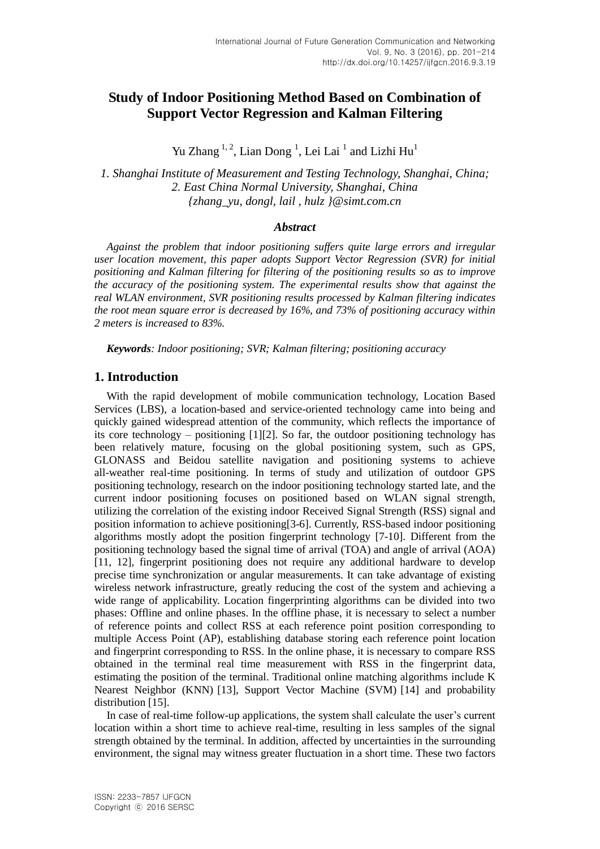# **Study of Indoor Positioning Method Based on Combination of Support Vector Regression and Kalman Filtering**

Yu Zhang  $^{1, 2}$ , Lian Dong  $^{1}$ , Lei Lai  $^{1}$  and Lizhi Hu<sup>1</sup>

*1. Shanghai Institute of Measurement and Testing Technology, Shanghai, China; 2. East China Normal University, Shanghai, China {zhang\_yu, dongl, lail , hulz }@simt.com.cn*

### *Abstract*

*Against the problem that indoor positioning suffers quite large errors and irregular user location movement, this paper adopts Support Vector Regression (SVR) for initial positioning and Kalman filtering for filtering of the positioning results so as to improve the accuracy of the positioning system. The experimental results show that against the real WLAN environment, SVR positioning results processed by Kalman filtering indicates the root mean square error is decreased by 16%, and 73% of positioning accuracy within 2 meters is increased to 83%.*

*Keywords: Indoor positioning; SVR; Kalman filtering; positioning accuracy*

## **1. Introduction**

With the rapid development of mobile communication technology, Location Based Services (LBS), a location-based and service-oriented technology came into being and quickly gained widespread attention of the community, which reflects the importance of its core technology – positioning  $[1][2]$ . So far, the outdoor positioning technology has been relatively mature, focusing on the global positioning system, such as GPS, GLONASS and Beidou satellite navigation and positioning systems to achieve all-weather real-time positioning. In terms of study and utilization of outdoor GPS positioning technology, research on the indoor positioning technology started late, and the current indoor positioning focuses on positioned based on WLAN signal strength, utilizing the correlation of the existing indoor Received Signal Strength (RSS) signal and position information to achieve positioning[3-6]. Currently, RSS-based indoor positioning algorithms mostly adopt the position fingerprint technology [7-10]. Different from the positioning technology based the signal time of arrival (TOA) and angle of arrival (AOA) [11, 12], fingerprint positioning does not require any additional hardware to develop precise time synchronization or angular measurements. It can take advantage of existing wireless network infrastructure, greatly reducing the cost of the system and achieving a wide range of applicability. Location fingerprinting algorithms can be divided into two phases: Offline and online phases. In the offline phase, it is necessary to select a number of reference points and collect RSS at each reference point position corresponding to multiple Access Point (AP), establishing database storing each reference point location and fingerprint corresponding to RSS. In the online phase, it is necessary to compare RSS obtained in the terminal real time measurement with RSS in the fingerprint data, estimating the position of the terminal. Traditional online matching algorithms include K Nearest Neighbor (KNN) [13], Support Vector Machine (SVM) [14] and probability distribution [15].

In case of real-time follow-up applications, the system shall calculate the user's current location within a short time to achieve real-time, resulting in less samples of the signal strength obtained by the terminal. In addition, affected by uncertainties in the surrounding environment, the signal may witness greater fluctuation in a short time. These two factors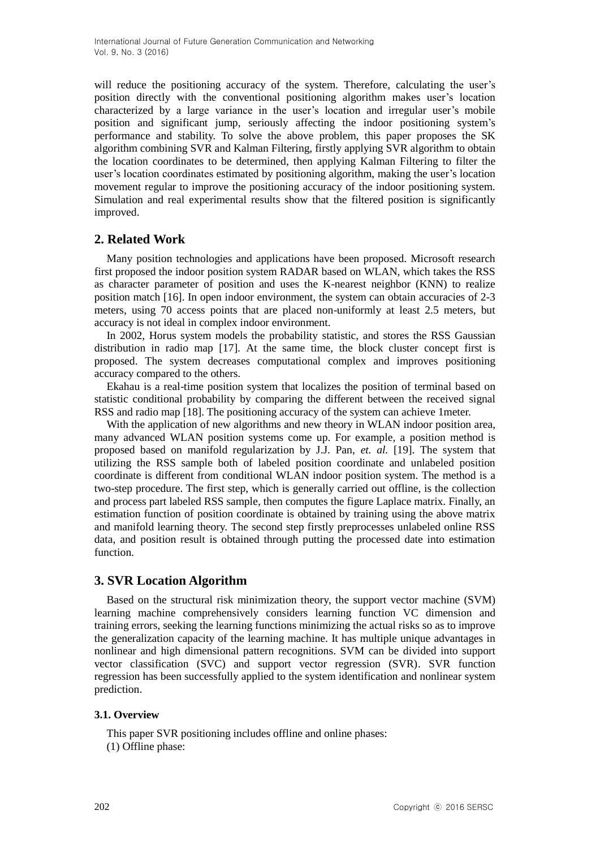will reduce the positioning accuracy of the system. Therefore, calculating the user's position directly with the conventional positioning algorithm makes user's location characterized by a large variance in the user's location and irregular user's mobile position and significant jump, seriously affecting the indoor positioning system's performance and stability. To solve the above problem, this paper proposes the SK algorithm combining SVR and Kalman Filtering, firstly applying SVR algorithm to obtain the location coordinates to be determined, then applying Kalman Filtering to filter the user's location coordinates estimated by positioning algorithm, making the user's location movement regular to improve the positioning accuracy of the indoor positioning system. Simulation and real experimental results show that the filtered position is significantly improved.

## **2. Related Work**

Many position technologies and applications have been proposed. Microsoft research first proposed the indoor position system RADAR based on WLAN, which takes the RSS as character parameter of position and uses the K-nearest neighbor (KNN) to realize position match [16]. In open indoor environment, the system can obtain accuracies of 2-3 meters, using 70 access points that are placed non-uniformly at least 2.5 meters, but accuracy is not ideal in complex indoor environment.

In 2002, Horus system models the probability statistic, and stores the RSS Gaussian distribution in radio map [17]. At the same time, the block cluster concept first is proposed. The system decreases computational complex and improves positioning accuracy compared to the others.

Ekahau is a real-time position system that localizes the position of terminal based on statistic conditional probability by comparing the different between the received signal RSS and radio map [18]. The positioning accuracy of the system can achieve 1meter.

With the application of new algorithms and new theory in WLAN indoor position area, many advanced WLAN position systems come up. For example, a position method is proposed based on manifold regularization by J.J. Pan, *et. al.* [19]. The system that utilizing the RSS sample both of labeled position coordinate and unlabeled position coordinate is different from conditional WLAN indoor position system. The method is a two-step procedure. The first step, which is generally carried out offline, is the collection and process part labeled RSS sample, then computes the figure Laplace matrix. Finally, an estimation function of position coordinate is obtained by training using the above matrix and manifold learning theory. The second step firstly preprocesses unlabeled online RSS data, and position result is obtained through putting the processed date into estimation function.

## **3. SVR Location Algorithm**

Based on the structural risk minimization theory, the support vector machine (SVM) learning machine comprehensively considers learning function VC dimension and training errors, seeking the learning functions minimizing the actual risks so as to improve the generalization capacity of the learning machine. It has multiple unique advantages in nonlinear and high dimensional pattern recognitions. SVM can be divided into support vector classification (SVC) and support vector regression (SVR). SVR function regression has been successfully applied to the system identification and nonlinear system prediction.

### **3.1. Overview**

This paper SVR positioning includes offline and online phases: (1) Offline phase: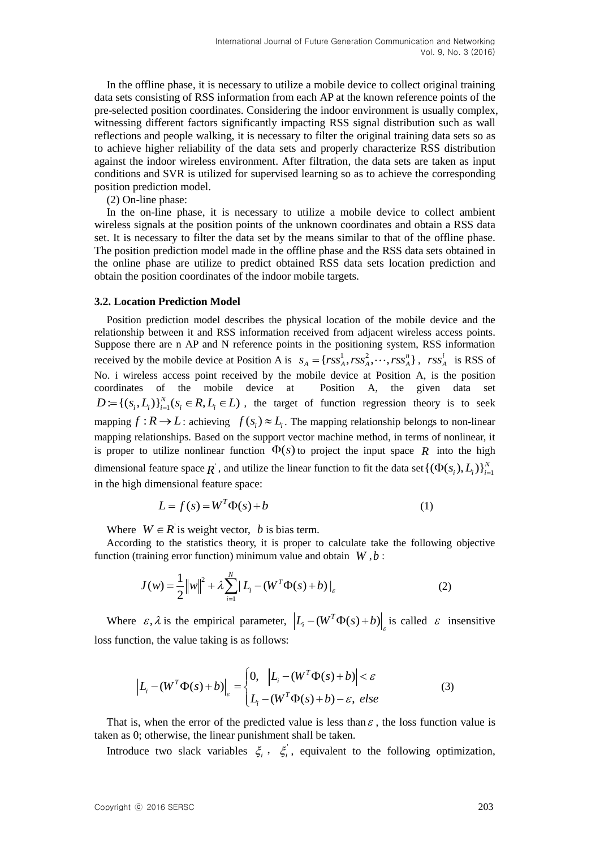In the offline phase, it is necessary to utilize a mobile device to collect original training data sets consisting of RSS information from each AP at the known reference points of the pre-selected position coordinates. Considering the indoor environment is usually complex, witnessing different factors significantly impacting RSS signal distribution such as wall reflections and people walking, it is necessary to filter the original training data sets so as to achieve higher reliability of the data sets and properly characterize RSS distribution against the indoor wireless environment. After filtration, the data sets are taken as input conditions and SVR is utilized for supervised learning so as to achieve the corresponding position prediction model.

(2) On-line phase:

In the on-line phase, it is necessary to utilize a mobile device to collect ambient wireless signals at the position points of the unknown coordinates and obtain a RSS data set. It is necessary to filter the data set by the means similar to that of the offline phase. The position prediction model made in the offline phase and the RSS data sets obtained in the online phase are utilize to predict obtained RSS data sets location prediction and obtain the position coordinates of the indoor mobile targets.

#### **3.2. Location Prediction Model**

Position prediction model describes the physical location of the mobile device and the relationship between it and RSS information received from adjacent wireless access points. Suppose there are n AP and N reference points in the positioning system, RSS information received by the mobile device at Position A is  $s_A = {rss_A^1, rss_A^2, \dots, rss_A^n}$ ,  $rss_A^i$  $\textit{rss}^i_A$  is RSS of No. i wireless access point received by the mobile device at Position A, is the position coordinates of the mobile device at Position A, the given data set coordinates of the mobile device at Position A, the given data set  $D := \{(s_i, L_i)\}_{i=1}^N (s_i \in R, L_i \in L)$ , the target of function regression theory is to seek mapping  $f : R \to L$ : achieving  $f(s_i) \approx L_i$ . The mapping relationship belongs to non-linear mapping relationships. Based on the support vector machine method, in terms of nonlinear, it is proper to utilize nonlinear function  $\Phi(s)$  to project the input space R into the high dimensional feature space  $\overline{R}$ , and utilize the linear function to fit the data set  $\{(\Phi(s_i), L_i)\}_{i=1}^N$ in the high dimensional feature space:

$$
L = f(s) = WT \Phi(s) + b
$$
 (1)

Where  $W \in R$  is weight vector, *b* is bias term.

According to the statistics theory, it is proper to calculate take the following objective function (training error function) minimum value and obtain *W* ,*b* :

$$
J(w) = \frac{1}{2} ||w||^2 + \lambda \sum_{i=1}^{N} |L_i - (W^T \Phi(s) + b)|_{\varepsilon}
$$
 (2)

Where  $\varepsilon$ ,  $\lambda$  is the empirical parameter,  $\left| L_i - (W^T \Phi(s) + b) \right|_{\varepsilon}$  is called  $\varepsilon$  insensitive loss function, the value taking is as follows:

$$
\left| L_i - (W^T \Phi(s) + b) \right|_{\varepsilon} = \begin{cases} 0, & |L_i - (W^T \Phi(s) + b)| < \varepsilon \\ L_i - (W^T \Phi(s) + b) - \varepsilon, & \text{else} \end{cases}
$$
(3)

That is, when the error of the predicted value is less than  $\varepsilon$ , the loss function value is taken as 0; otherwise, the linear punishment shall be taken.

Introduce two slack variables  $\xi_i$ ,  $\xi'_i$ , equivalent to the following optimization,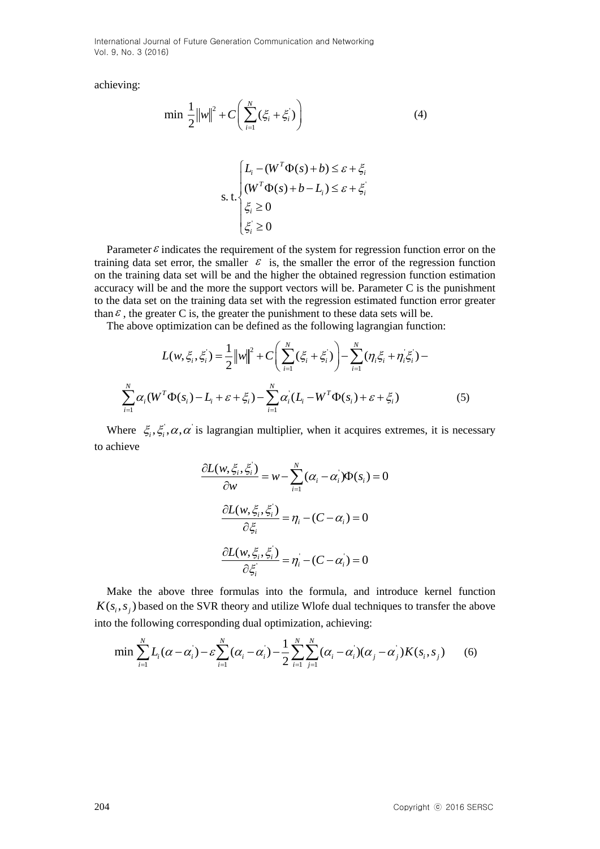achieving:

$$
\min \frac{1}{2} ||w||^2 + C \bigg( \sum_{i=1}^N (\xi_i + \xi'_i) \bigg) \tag{4}
$$

$$
\begin{cases}\nL_i - (W^T \Phi(s) + b) \le \varepsilon + \xi_i \\
(W^T \Phi(s) + b - L_i) \le \varepsilon + \xi_i' \\
\xi_i \ge 0 \\
\xi_i' \ge 0\n\end{cases}
$$

Parameter  $\varepsilon$  indicates the requirement of the system for regression function error on the training data set error, the smaller  $\epsilon$  is, the smaller the error of the regression function on the training data set will be and the higher the obtained regression function estimation accuracy will be and the more the support vectors will be. Parameter C is the punishment to the data set on the training data set with the regression estimated function error greater than  $\epsilon$ , the greater C is, the greater the punishment to these data sets will be.

$$
\ln \varepsilon
$$
, the greater C is, the greater the punishment to these data sets will be.  
The above optimization can be defined as the following lagrangian function:  

$$
L(w, \xi_i, \xi_i) = \frac{1}{2} ||w||^2 + C \left( \sum_{i=1}^N (\xi_i + \xi_i) \right) - \sum_{i=1}^N (\eta_i \xi_i + \eta_i \xi_i) - \sum_{i=1}^N \alpha_i (W^T \Phi(s_i) - L_i + \varepsilon + \xi_i) - \sum_{i=1}^N \alpha_i (L_i - W^T \Phi(s_i) + \varepsilon + \xi_i)
$$
(5)

Where  $\zeta_i, \zeta_i, \alpha, \alpha$  is lagrangian multiplier, when it acquires extremes, it is necessary to achieve

$$
\frac{\partial L(w, \xi_i, \xi_i)}{\partial w} = w - \sum_{i=1}^N (\alpha_i - \alpha_i) \Phi(s_i) = 0
$$

$$
\frac{\partial L(w, \xi_i, \xi_i)}{\partial \xi_i} = \eta_i - (C - \alpha_i) = 0
$$

$$
\frac{\partial L(w, \xi_i, \xi_i)}{\partial \xi_i} = \eta_i - (C - \alpha_i) = 0
$$

Make the above three formulas into the formula, and introduce kernel function  $K(s<sub>i</sub>, s<sub>j</sub>)$  based on the SVR theory and utilize Wlofe dual techniques to transfer the above the above three formulas into the formula, and introduce kernel func<br>based on the SVR theory and utilize Wlofe dual techniques to transfer the at<br>ollowing corresponding dual optimization, achieving:<br> $\sum_{i=1}^{N} L_i(\alpha - \alpha_i) - \$ 

into the following corresponding dual optimization, achieving:  
\n
$$
\min \sum_{i=1}^{N} L_i (\alpha - \alpha_i) - \varepsilon \sum_{i=1}^{N} (\alpha_i - \alpha_i) - \frac{1}{2} \sum_{i=1}^{N} \sum_{j=1}^{N} (\alpha_i - \alpha_i) (\alpha_j - \alpha_j) K(s_i, s_j)
$$
\n(6)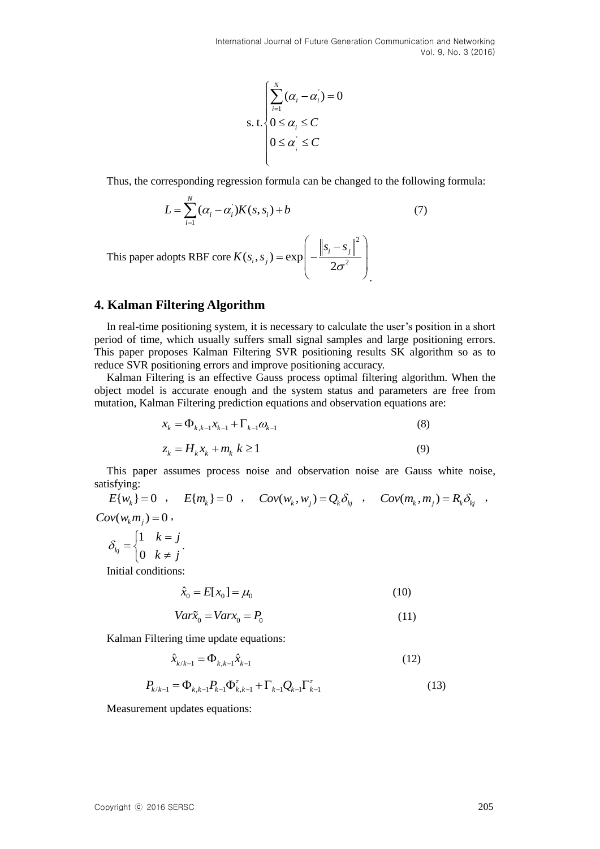$$
\text{s. t.} \begin{cases} \sum_{i=1}^{N} (\alpha_i - \alpha_i) = 0\\ 0 \le \alpha_i \le C\\ 0 \le \alpha_i \le C \end{cases}
$$

Thus, the corresponding regression formula can be changed to the following formula:

$$
L = \sum_{i=1}^{N} (\alpha_i - \alpha_i) K(s, s_i) + b
$$
 (7)

This paper adopts RBF core 2  $(s_i, s_j) = \exp \left(-\frac{\left\|s_i - s\right\|}{2\sigma^2}\right)$  $\mathbf{y}_i - \mathbf{S}_j$  $i<sub>j</sub>$ ,  $S_j$  $s_i - s$  $K(s_i, s_j) = \exp\left(-\frac{\left\|s_i - s_j\right\|}{2\sigma}\right)$  $\left( \|s_{i}-s_{j}\|^{2} \right)$  $=\exp\left(-\frac{\left\|s_i-s_j\right\|^2}{2\sigma^2}\right)$  $\left(-\frac{\|^{\sigma_i}+ \sigma_j\|}{2\sigma^2}\right)$ 

## **4. Kalman Filtering Algorithm**

In real-time positioning system, it is necessary to calculate the user's position in a short period of time, which usually suffers small signal samples and large positioning errors. This paper proposes Kalman Filtering SVR positioning results SK algorithm so as to reduce SVR positioning errors and improve positioning accuracy.

Kalman Filtering is an effective Gauss process optimal filtering algorithm. When the object model is accurate enough and the system status and parameters are free from mutation, Kalman Filtering prediction equations and observation equations are:

$$
x_{k} = \Phi_{k,k-1} x_{k-1} + \Gamma_{k-1} \omega_{k-1}
$$
  
\n
$$
z_{k} = H_{k} x_{k} + m_{k} k \ge 1
$$
\n(8)

This paper assumes process noise and observation noise are Gauss white noise, satisfying:

 $E\{w_k\} = 0$ ,  $E\{m_k\} = 0$ ,  $Cov(w_k, w_j) = Q_k \delta_{kj}$ ,  $Cov(m_k, m_j) = R_k \delta_{kj}$ ,  $Cov(w_k m_j) = 0$ , 1  $\binom{kj}{0}$  $k = j$  $\delta_{kj} = \begin{cases} 1 & k = j \\ 0 & k \neq j \end{cases}$  $=\{$  $\begin{pmatrix} 0 & k \neq 0 \end{pmatrix}$ .

Initial conditions:

$$
\hat{x}_0 = E[x_0] = \mu_0 \tag{10}
$$

$$
Var\tilde{x}_0 = Varx_0 = P_0 \tag{11}
$$

Kalman Filtering time update equations:

$$
\hat{x}_{k/k-1} = \Phi_{k,k-1} \hat{x}_{k-1}
$$
\n(12)

$$
P_{k/k-1} = \Phi_{k,k-1} P_{k-1} \Phi_{k,k-1}^{\tau} + \Gamma_{k-1} Q_{k-1} \Gamma_{k-1}^{\tau}
$$
\n(13)

Measurement updates equations: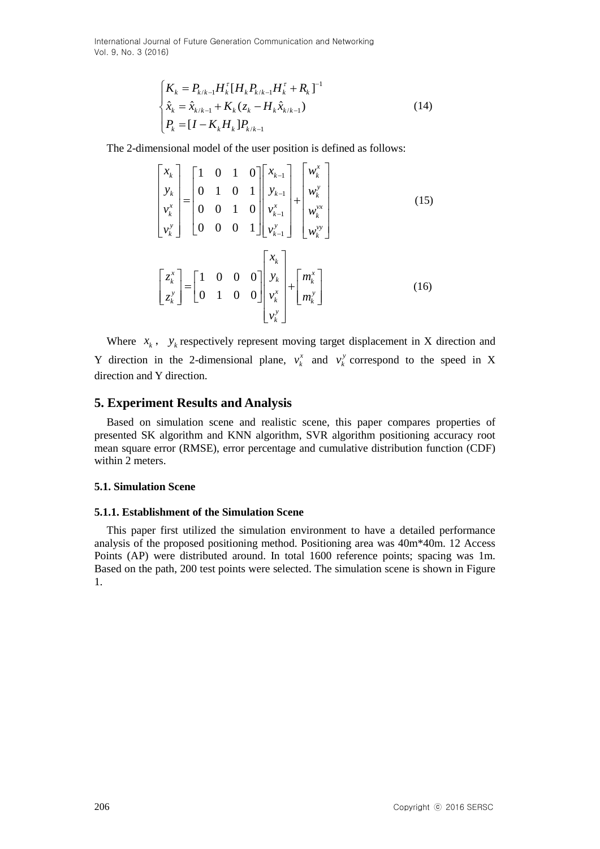$$
\begin{cases}\nK_{k} = P_{k/k-1} H_{k}^{\tau} [H_{k} P_{k/k-1} H_{k}^{\tau} + R_{k}]^{-1} \\
\hat{x}_{k} = \hat{x}_{k/k-1} + K_{k} (z_{k} - H_{k} \hat{x}_{k/k-1}) \\
P_{k} = [I - K_{k} H_{k}] P_{k/k-1}\n\end{cases}
$$
\n(14)

The 2-dimensional model of the user position is defined as follows:  
\n
$$
\begin{bmatrix}\nx_k \\
y_k \\
v_k^x \\
v_k^y\n\end{bmatrix} = \begin{bmatrix}\n1 & 0 & 1 & 0 \\
0 & 1 & 0 & 1 \\
0 & 0 & 1 & 0 \\
0 & 0 & 0 & 1\n\end{bmatrix} \begin{bmatrix}\nx_{k-1} \\
y_{k-1} \\
v_{k-1}^x \\
v_k^y\n\end{bmatrix} + \begin{bmatrix}\nw_k^y \\
w_k^y \\
w_k^{vy}\n\end{bmatrix}
$$
\n(15)  
\n
$$
\begin{bmatrix}\nz_k^x \\
z_k^y\n\end{bmatrix} = \begin{bmatrix}\n1 & 0 & 0 & 0 \\
0 & 1 & 0 & 0\n\end{bmatrix} \begin{bmatrix}\nx_k \\
y_k^x \\
v_k^x\n\end{bmatrix} + \begin{bmatrix}\nm_k^x \\
m_k^y\n\end{bmatrix}
$$
\n(16)

Where  $x_k$ ,  $y_k$  respectively represent moving target displacement in X direction and Y direction in the 2-dimensional plane,  $v_i^x$  $v_k^x$  and  $v_k^y$  $v_k^y$  correspond to the speed in X direction and Y direction.

## **5. Experiment Results and Analysis**

Based on simulation scene and realistic scene, this paper compares properties of presented SK algorithm and KNN algorithm, SVR algorithm positioning accuracy root mean square error (RMSE), error percentage and cumulative distribution function (CDF) within 2 meters.

#### **5.1. Simulation Scene**

#### **5.1.1. Establishment of the Simulation Scene**

This paper first utilized the simulation environment to have a detailed performance analysis of the proposed positioning method. Positioning area was 40m\*40m. 12 Access Points (AP) were distributed around. In total 1600 reference points; spacing was 1m. Based on the path, 200 test points were selected. The simulation scene is shown in Figure 1.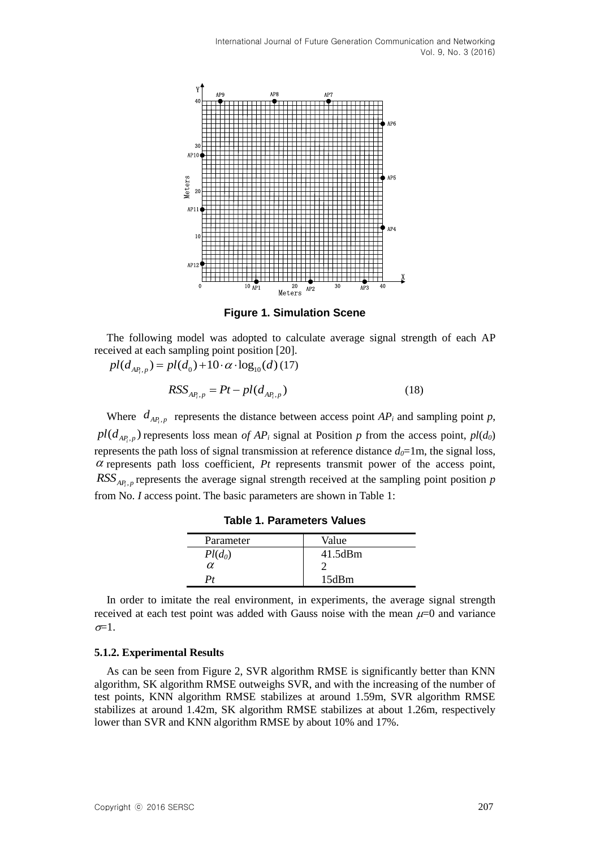

**Figure 1. Simulation Scene**

The following model was adopted to calculate average signal strength of each AP received at each sampling point position [20]. ived at each sampling point position [20].<br>  $pl(d_{AP_i, p}) = pl(d_0) + 10 \cdot \alpha \cdot \log_{10}(d)$  (17)

$$
RSS_{AP_i, p} = Pt - pl(d_{AP_i, p})
$$
\n(18)

Where  $d_{AP_i, p}$  represents the distance between access point  $AP_i$  and sampling point *p*,  $p_l(d_{AP_i,p})$  represents loss mean *of AP<sub>i</sub>* signal at Position *p* from the access point,  $p_l(d_0)$ represents the path loss of signal transmission at reference distance  $d_0=1$ m, the signal loss,  $\alpha$  represents path loss coefficient,  $Pt$  represents transmit power of the access point,  $RSS_{AP_i, p}$  represents the average signal strength received at the sampling point position *p* from No. *I* access point. The basic parameters are shown in Table 1:

| Parameter | Value   |
|-----------|---------|
| $Pl(d_0)$ | 41.5dBm |
| α         |         |
|           | 15dBm   |

**Table 1. Parameters Values**

In order to imitate the real environment, in experiments, the average signal strength received at each test point was added with Gauss noise with the mean  $\mu=0$  and variance  $\sigma=1$ .

### **5.1.2. Experimental Results**

As can be seen from Figure 2, SVR algorithm RMSE is significantly better than KNN algorithm, SK algorithm RMSE outweighs SVR, and with the increasing of the number of test points, KNN algorithm RMSE stabilizes at around 1.59m, SVR algorithm RMSE stabilizes at around 1.42m, SK algorithm RMSE stabilizes at about 1.26m, respectively lower than SVR and KNN algorithm RMSE by about 10% and 17%.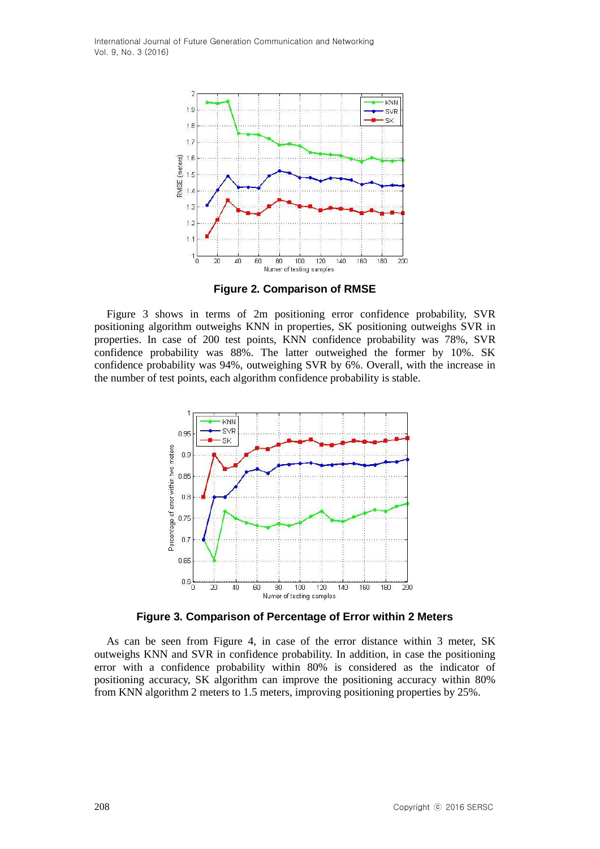

**Figure 2. Comparison of RMSE**

Figure 3 shows in terms of 2m positioning error confidence probability, SVR positioning algorithm outweighs KNN in properties, SK positioning outweighs SVR in properties. In case of 200 test points, KNN confidence probability was 78%, SVR confidence probability was 88%. The latter outweighed the former by 10%. SK confidence probability was 94%, outweighing SVR by 6%. Overall, with the increase in the number of test points, each algorithm confidence probability is stable.



**Figure 3. Comparison of Percentage of Error within 2 Meters**

As can be seen from Figure 4, in case of the error distance within 3 meter, SK outweighs KNN and SVR in confidence probability. In addition, in case the positioning error with a confidence probability within 80% is considered as the indicator of positioning accuracy, SK algorithm can improve the positioning accuracy within 80% from KNN algorithm 2 meters to 1.5 meters, improving positioning properties by 25%.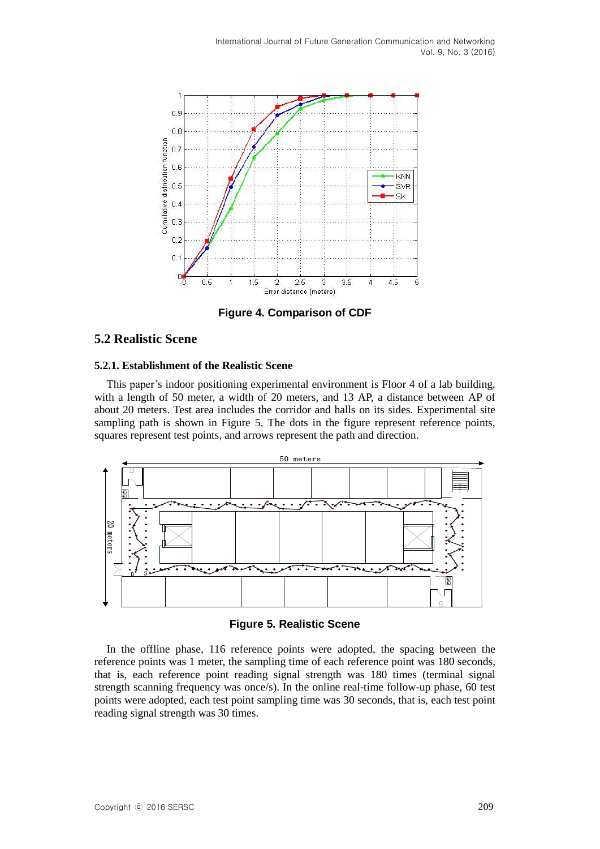

**Figure 4. Comparison of CDF**

## **5.2 Realistic Scene**

## **5.2.1. Establishment of the Realistic Scene**

This paper's indoor positioning experimental environment is Floor 4 of a lab building, with a length of 50 meter, a width of 20 meters, and 13 AP, a distance between AP of about 20 meters. Test area includes the corridor and halls on its sides. Experimental site sampling path is shown in Figure 5. The dots in the figure represent reference points, squares represent test points, and arrows represent the path and direction.



**Figure 5. Realistic Scene**

In the offline phase, 116 reference points were adopted, the spacing between the reference points was 1 meter, the sampling time of each reference point was 180 seconds, that is, each reference point reading signal strength was 180 times (terminal signal strength scanning frequency was once/s). In the online real-time follow-up phase, 60 test points were adopted, each test point sampling time was 30 seconds, that is, each test point reading signal strength was 30 times.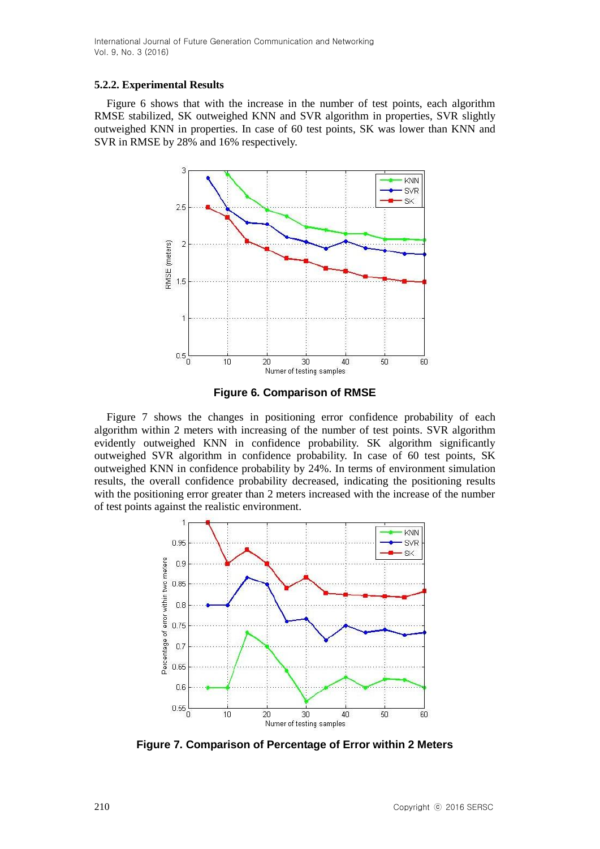#### **5.2.2. Experimental Results**

Figure 6 shows that with the increase in the number of test points, each algorithm RMSE stabilized, SK outweighed KNN and SVR algorithm in properties, SVR slightly outweighed KNN in properties. In case of 60 test points, SK was lower than KNN and SVR in RMSE by 28% and 16% respectively.



**Figure 6. Comparison of RMSE**

Figure 7 shows the changes in positioning error confidence probability of each algorithm within 2 meters with increasing of the number of test points. SVR algorithm evidently outweighed KNN in confidence probability. SK algorithm significantly outweighed SVR algorithm in confidence probability. In case of 60 test points, SK outweighed KNN in confidence probability by 24%. In terms of environment simulation results, the overall confidence probability decreased, indicating the positioning results with the positioning error greater than 2 meters increased with the increase of the number of test points against the realistic environment.



**Figure 7. Comparison of Percentage of Error within 2 Meters**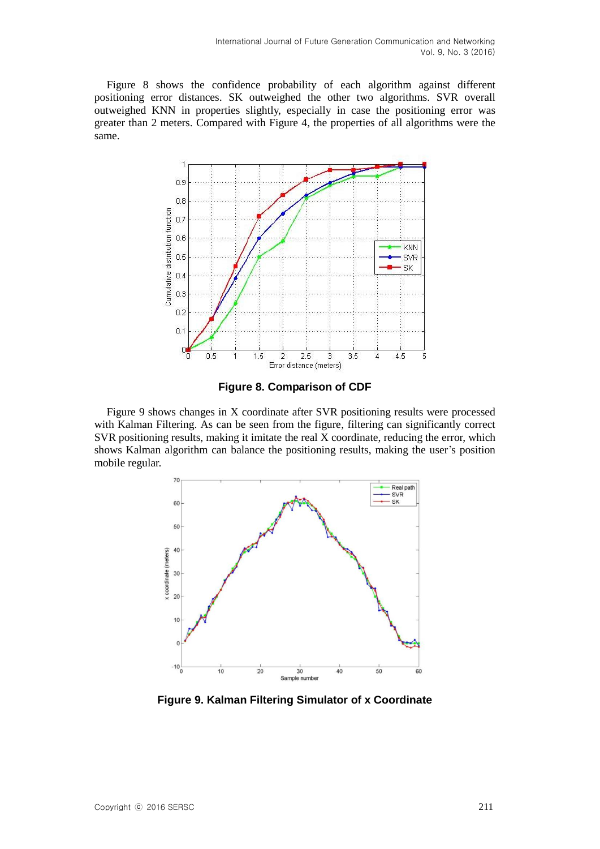Figure 8 shows the confidence probability of each algorithm against different positioning error distances. SK outweighed the other two algorithms. SVR overall outweighed KNN in properties slightly, especially in case the positioning error was greater than 2 meters. Compared with Figure 4, the properties of all algorithms were the same.



**Figure 8. Comparison of CDF**

Figure 9 shows changes in X coordinate after SVR positioning results were processed with Kalman Filtering. As can be seen from the figure, filtering can significantly correct SVR positioning results, making it imitate the real X coordinate, reducing the error, which shows Kalman algorithm can balance the positioning results, making the user's position mobile regular.



**Figure 9. Kalman Filtering Simulator of x Coordinate**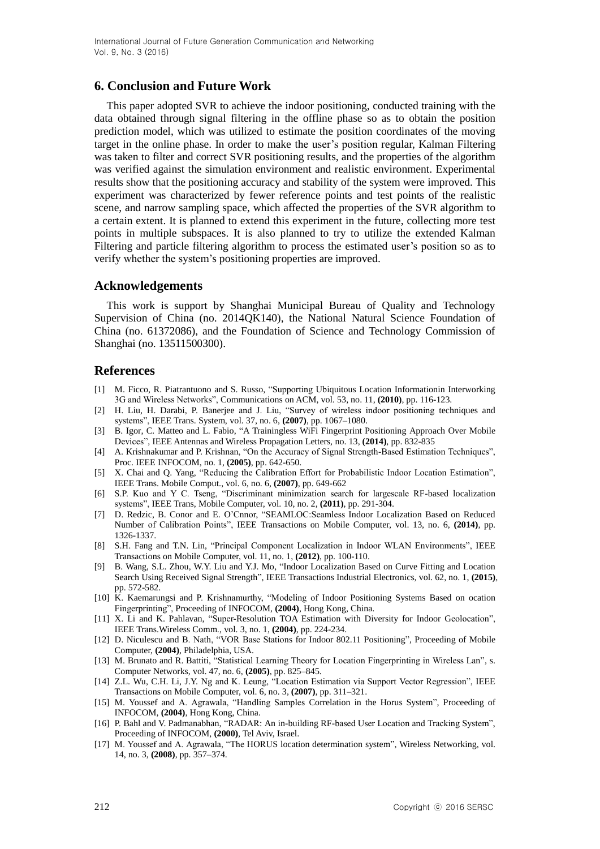## **6. Conclusion and Future Work**

This paper adopted SVR to achieve the indoor positioning, conducted training with the data obtained through signal filtering in the offline phase so as to obtain the position prediction model, which was utilized to estimate the position coordinates of the moving target in the online phase. In order to make the user's position regular, Kalman Filtering was taken to filter and correct SVR positioning results, and the properties of the algorithm was verified against the simulation environment and realistic environment. Experimental results show that the positioning accuracy and stability of the system were improved. This experiment was characterized by fewer reference points and test points of the realistic scene, and narrow sampling space, which affected the properties of the SVR algorithm to a certain extent. It is planned to extend this experiment in the future, collecting more test points in multiple subspaces. It is also planned to try to utilize the extended Kalman Filtering and particle filtering algorithm to process the estimated user's position so as to verify whether the system's positioning properties are improved.

#### **Acknowledgements**

This work is support by Shanghai Municipal Bureau of Quality and Technology Supervision of China (no. 2014QK140), the National Natural Science Foundation of China (no. 61372086), and the Foundation of Science and Technology Commission of Shanghai (no. 13511500300).

### **References**

- [1] M. Ficco, R. Piatrantuono and S. Russo, "Supporting Ubiquitous Location Informationin Interworking 3G and Wireless Networks", Communications on ACM, vol. 53, no. 11, **(2010)**, pp. 116-123.
- [2] H. Liu, H. Darabi, P. Banerjee and J. Liu, "Survey of wireless indoor positioning techniques and systems", IEEE Trans. System, vol. 37, no. 6, **(2007)**, pp. 1067–1080.
- [3] B. Igor, C*.* Matteo and L. Fabio, "A Trainingless WiFi Fingerprint Positioning Approach Over Mobile Devices", IEEE Antennas and Wireless Propagation Letters, no. 13, **(2014)**, pp. 832-835
- [4] A. Krishnakumar and P. Krishnan, "On the Accuracy of Signal Strength-Based Estimation Techniques", Proc. IEEE INFOCOM, no. 1, **(2005)**, pp. 642-650.
- [5] X. Chai and Q. Yang, "Reducing the Calibration Effort for Probabilistic Indoor Location Estimation", IEEE Trans. Mobile Comput., vol. 6, no. 6, **(2007)**, pp. 649-662
- [6] S.P. Kuo and Y C. Tseng, "Discriminant minimization search for largescale RF-based localization systems", IEEE Trans, Mobile Computer, vol. 10, no. 2, **(2011)**, pp. 291-304.
- [7] D. Redzic, B. Conor and E. O'Cnnor, "SEAMLOC:Seamless Indoor Localization Based on Reduced Number of Calibration Points", IEEE Transactions on Mobile Computer, vol. 13, no. 6, **(2014)**, pp. 1326-1337.
- [8] S.H. Fang and T.N. Lin, "Principal Component Localization in Indoor WLAN Environments", IEEE Transactions on Mobile Computer, vol. 11, no. 1, **(2012)**, pp. 100-110.
- [9] B. Wang, S.L. Zhou, W.Y. Liu and Y.J. Mo, "Indoor Localization Based on Curve Fitting and Location Search Using Received Signal Strength", IEEE Transactions Industrial Electronics, vol. 62, no. 1, **(2015)**, pp. 572-582.
- [10] K. Kaemarungsi and P. Krishnamurthy, "Modeling of Indoor Positioning Systems Based on ocation Fingerprinting", Proceeding of INFOCOM, **(2004)**, Hong Kong, China.
- [11] X. Li and K. Pahlavan, "Super-Resolution TOA Estimation with Diversity for Indoor Geolocation", IEEE Trans.Wireless Comm., vol. 3, no. 1, **(2004)**, pp. 224-234.
- [12] D. Niculescu and B. Nath, "VOR Base Stations for Indoor 802.11 Positioning", Proceeding of Mobile Computer, **(2004)**, [Philadelphia, USA.](http://www.sigmobile.org/mobicom/2004/travel.html)
- [13] M. Brunato and R. Battiti, "Statistical Learning Theory for Location Fingerprinting in Wireless Lan", s. Computer Networks, vol. 47, no. 6, **(2005)**, pp. 825–845.
- [14] Z.L. Wu, C.H. Li, J.Y. Ng and K. Leung, "Location Estimation via Support Vector Regression", IEEE Transactions on Mobile Computer, vol. 6, no. 3, **(2007)**, pp. 311–321.
- [15] M. Youssef and A. Agrawala, "Handling Samples Correlation in the Horus System", Proceeding of INFOCOM, **(2004)**, Hong Kong, China.
- [16] P. Bahl and V. Padmanabhan, "RADAR: An in-building RF-based User Location and Tracking System", Proceeding of INFOCOM, **(2000)**, Tel Aviv, Israel.
- [17] M. Youssef and A. Agrawala, "The HORUS location determination system", Wireless Networking, vol. 14, no. 3, **(2008)**, pp. 357–374.